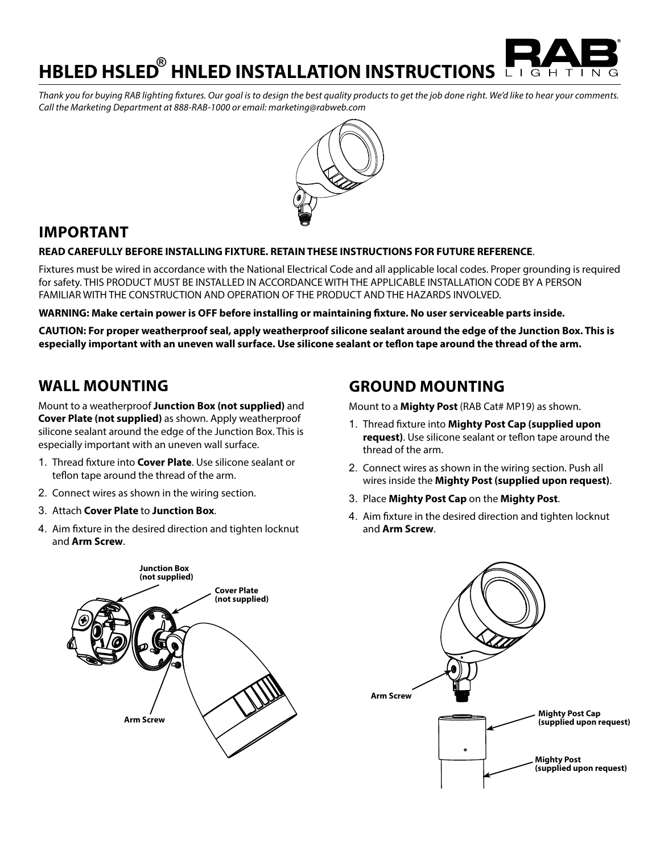**HBLED HSLED HNLED INSTALLATION INSTRUCTIONS ®** LIGH

*Thank you for buying RAB lighting fixtures. Our goal is to design the best quality products to get the job done right. We'd like to hear your comments. Call the Marketing Department at 888-RAB-1000 or email: marketing@rabweb.com*



#### **IMPORTANT**

#### **READ CAREFULLY BEFORE INSTALLING FIXTURE. RETAIN THESE INSTRUCTIONS FOR FUTURE REFERENCE**.

Fixtures must be wired in accordance with the National Electrical Code and all applicable local codes. Proper grounding is required for safety. THIS PRODUCT MUST BE INSTALLED IN ACCORDANCE WITH THE APPLICABLE INSTALLATION CODE BY A PERSON FAMILIAR WITH THE CONSTRUCTION AND OPERATION OF THE PRODUCT AND THE HAZARDS INVOLVED.

**WARNING: Make certain power is OFF before installing or maintaining fixture. No user serviceable parts inside.**

**CAUTION: For proper weatherproof seal, apply weatherproof silicone sealant around the edge of the Junction Box. This is especially important with an uneven wall surface. Use silicone sealant or teflon tape around the thread of the arm.**

### **WALL MOUNTING**

Mount to a weatherproof **Junction Box (not supplied)** and **Cover Plate (not supplied)** as shown. Apply weatherproof silicone sealant around the edge of the Junction Box. This is especially important with an uneven wall surface.

- 1. Thread fixture into **Cover Plate**. Use silicone sealant or teflon tape around the thread of the arm.
- 2. Connect wires as shown in the wiring section.
- 3. Attach **Cover Plate** to **Junction Box**.
- 4. Aim fixture in the desired direction and tighten locknut and **Arm Screw**.

# **GROUND MOUNTING**

Mount to a **Mighty Post** (RAB Cat# MP19) as shown.

- 1. Thread fixture into **Mighty Post Cap (supplied upon request)**. Use silicone sealant or teflon tape around the thread of the arm.
- 2. Connect wires as shown in the wiring section. Push all wires inside the **Mighty Post (supplied upon request)**.
- 3. Place **Mighty Post Cap** on the **Mighty Post**.
- 4. Aim fixture in the desired direction and tighten locknut and **Arm Screw**.